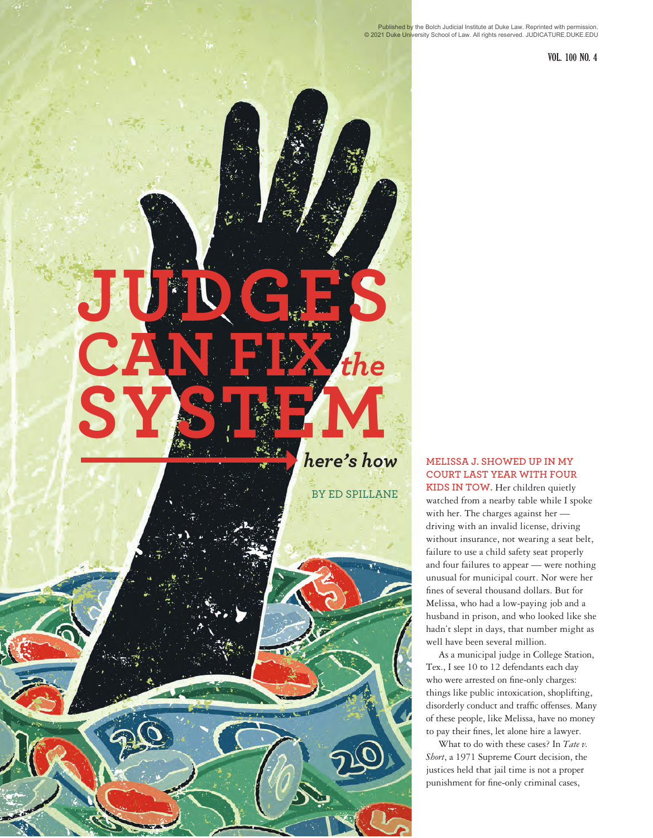**52 VOL. 100 NO. 4 52 VOL. 100 NO. 4** 

# **JUDGES CAN FIX** *the* **SYSTEM** *here's how* **MELISSA J. SHOWED UP IN MY**

BY ED SPILLANE

#### **COURT LAST YEAR WITH FOUR KIDS IN TOW.** Her children quietly

watched from a nearby table while I spoke with her. The charges against her driving with an invalid license, driving without insurance, not wearing a seat belt, failure to use a child safety seat properly and four failures to appear — were nothing unusual for municipal court. Nor were her fines of several thousand dollars. But for Melissa, who had a low-paying job and a husband in prison, and who looked like she hadn't slept in days, that number might as well have been several million.

As a municipal judge in College Station, Tex., I see 10 to 12 defendants each day who were arrested on fine-only charges: things like public intoxication, shoplifting, disorderly conduct and traffic offenses. Many of these people, like Melissa, have no money to pay their fines, let alone hire a lawyer.

What to do with these cases? In *Tate v. Short*, a 1971 Supreme Court decision, the justices held that jail time is not a proper punishment for fine-only criminal cases,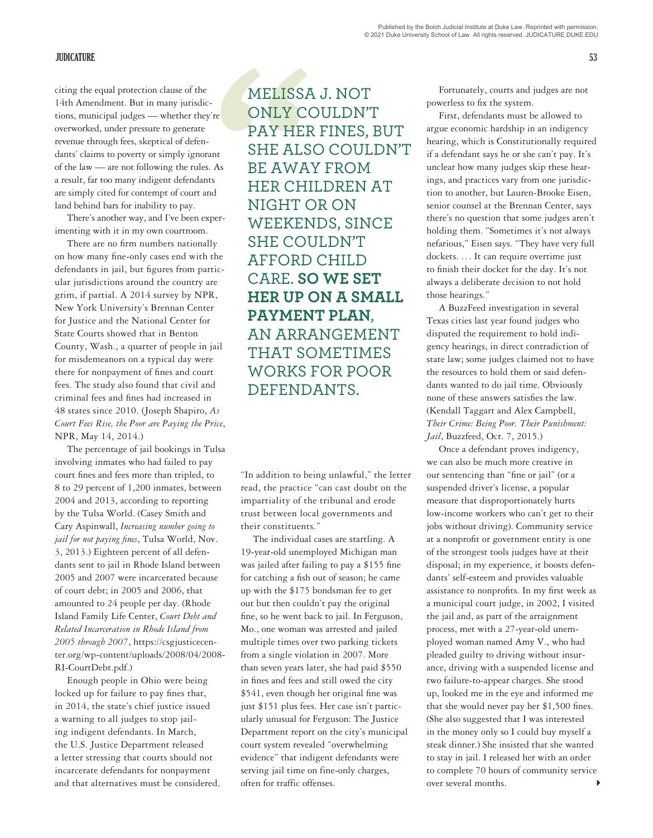citing the equal protection clause of the 14th Amendment. But in many jurisdictions, municipal judges — whether they're overworked, under pressure to generate revenue through fees, skeptical of defendants' claims to poverty or simply ignorant of the law — are not following the rules. As a result, far too many indigent defendants are simply cited for contempt of court and land behind bars for inability to pay.

There's another way, and I've been experimenting with it in my own courtroom.

There are no firm numbers nationally on how many fine-only cases end with the defendants in jail, but figures from particular jurisdictions around the country are grim, if partial. A 2014 survey by NPR, New York University's Brennan Center for Justice and the National Center for State Courts showed that in Benton County, Wash., a quarter of people in jail for misdemeanors on a typical day were there for nonpayment of fines and court fees. The study also found that civil and criminal fees and fines had increased in 48 states since 2010. (Joseph Shapiro, *As Court Fees Rise, the Poor are Paying the Price*, NPR, May 14, 2014.)

The percentage of jail bookings in Tulsa involving inmates who had failed to pay court fines and fees more than tripled, to 8 to 29 percent of 1,200 inmates, between 2004 and 2013, according to reporting by the Tulsa World. (Casey Smith and Cary Aspinwall, *Increasing number going to jail for not paying fines*, Tulsa World, Nov. 3, 2013.) Eighteen percent of all defendants sent to jail in Rhode Island between 2005 and 2007 were incarcerated because of court debt; in 2005 and 2006, that amounted to 24 people per day. (Rhode Island Family Life Center, *Court Debt and Related Incarceration in Rhode Island from 2005 through 2007*, https://csgjusticecenter.org/wp-content/uploads/2008/04/2008- RI-CourtDebt.pdf.)

Enough people in Ohio were being locked up for failure to pay fines that, in 2014, the state's chief justice issued a warning to all judges to stop jailing indigent defendants. In March, the U.S. Justice Department released a letter stressing that courts should not incarcerate defendants for nonpayment and that alternatives must be considered.

MELISSA<br>
re ONLY CONLY CONLY CONLY CONLY CONLY CONLY CONLY CONLY CONTRE<br>
As BE AWA<br>
HER CHI MIGHT CONNET CON<br>
Per- WEEKEN<br>
SHE COU MELISSA J. NOT ONLY COULDN'T PAY HER FINES, BUT SHE ALSO COULDN'T BE AWAY FROM HER CHILDREN AT NIGHT OR ON WEEKENDS, SINCE SHE COULDN'T AFFORD CHILD CARE. **SO WE SET HER UP ON A SMALL PAYMENT PLAN**, AN ARRANGEMENT THAT SOMETIMES WORKS FOR POOR DEFENDANTS.

> "In addition to being unlawful," the letter read, the practice "can cast doubt on the impartiality of the tribunal and erode trust between local governments and their constituents."

The individual cases are startling. A 19-year-old unemployed Michigan man was jailed after failing to pay a \$155 fine for catching a fish out of season; he came up with the \$175 bondsman fee to get out but then couldn't pay the original fine, so he went back to jail. In Ferguson, Mo., one woman was arrested and jailed multiple times over two parking tickets from a single violation in 2007. More than seven years later, she had paid \$550 in fines and fees and still owed the city \$541, even though her original fine was just \$151 plus fees. Her case isn't particularly unusual for Ferguson: The Justice Department report on the city's municipal court system revealed "overwhelming evidence" that indigent defendants were serving jail time on fine-only charges, often for traffic offenses.

Fortunately, courts and judges are not powerless to fix the system.

First, defendants must be allowed to argue economic hardship in an indigency hearing, which is Constitutionally required if a defendant says he or she can't pay. It's unclear how many judges skip these hearings, and practices vary from one jurisdiction to another, but Lauren-Brooke Eisen, senior counsel at the Brennan Center, says there's no question that some judges aren't holding them. "Sometimes it's not always nefarious," Eisen says. "They have very full dockets. ... It can require overtime just to finish their docket for the day. It's not always a deliberate decision to not hold those hearings."

A BuzzFeed investigation in several Texas cities last year found judges who disputed the requirement to hold indigency hearings, in direct contradiction of state law; some judges claimed not to have the resources to hold them or said defendants wanted to do jail time. Obviously none of these answers satisfies the law. (Kendall Taggart and Alex Campbell, *Their Crime: Being Poor. Their Punishment: Jail*, Buzzfeed, Oct. 7, 2015.)

4 Once a defendant proves indigency, we can also be much more creative in our sentencing than "fine or jail" (or a suspended driver's license, a popular measure that disproportionately hurts low-income workers who can't get to their jobs without driving). Community service at a nonprofit or government entity is one of the strongest tools judges have at their disposal; in my experience, it boosts defendants' self-esteem and provides valuable assistance to nonprofits. In my first week as a municipal court judge, in 2002, I visited the jail and, as part of the arraignment process, met with a 27-year-old unemployed woman named Amy V., who had pleaded guilty to driving without insurance, driving with a suspended license and two failure-to-appear charges. She stood up, looked me in the eye and informed me that she would never pay her \$1,500 fines. (She also suggested that I was interested in the money only so I could buy myself a steak dinner.) She insisted that she wanted to stay in jail. I released her with an order to complete 70 hours of community service over several months.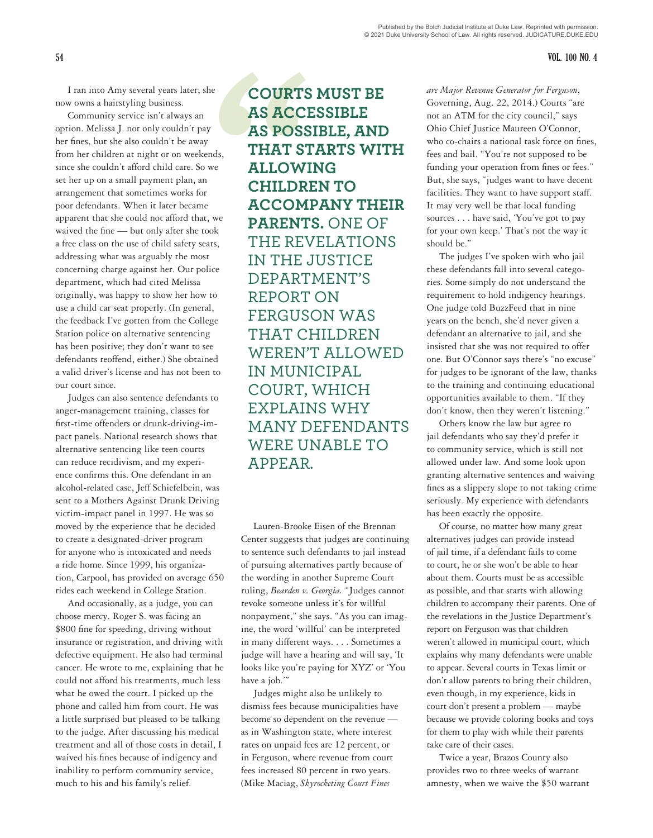I ran into Amy several years later; she now owns a hairstyling business.

Community service isn't always an option. Melissa J. not only couldn't pay her fines, but she also couldn't be away from her children at night or on weekends, since she couldn't afford child care. So we set her up on a small payment plan, an arrangement that sometimes works for poor defendants. When it later became apparent that she could not afford that, we waived the fine — but only after she took a free class on the use of child safety seats, addressing what was arguably the most concerning charge against her. Our police department, which had cited Melissa originally, was happy to show her how to use a child car seat properly. (In general, the feedback I've gotten from the College Station police on alternative sentencing has been positive; they don't want to see defendants reoffend, either.) She obtained a valid driver's license and has not been to our court since.

Judges can also sentence defendants to anger-management training, classes for first-time offenders or drunk-driving-impact panels. National research shows that alternative sentencing like teen courts can reduce recidivism, and my experience confirms this. One defendant in an alcohol-related case, Jeff Schiefelbein, was sent to a Mothers Against Drunk Driving victim-impact panel in 1997. He was so moved by the experience that he decided to create a designated-driver program for anyone who is intoxicated and needs a ride home. Since 1999, his organization, Carpool, has provided on average 650 rides each weekend in College Station.

And occasionally, as a judge, you can choose mercy. Roger S. was facing an \$800 fine for speeding, driving without insurance or registration, and driving with defective equipment. He also had terminal cancer. He wrote to me, explaining that he could not afford his treatments, much less what he owed the court. I picked up the phone and called him from court. He was a little surprised but pleased to be talking to the judge. After discussing his medical treatment and all of those costs in detail, I waived his fines because of indigency and inability to perform community service, much to his and his family's relief.

**COURTS<br>
AS ACC!<br>
AS POSS<br>
THAT ST<br>
<sup>ds,</sup><br>
THAT ST<br>
ELLOW!<br>
CHILDR<br>
ACCOM<br>
PARENT<br>
THE RENT<br>
THE RENT COURTS MUST BE AS ACCESSIBLE AS POSSIBLE, AND THAT STARTS WITH ALLOWING CHILDREN TO ACCOMPANY THEIR PARENTS.** ONE OF THE REVELATIONS IN THE JUSTICE DEPARTMENT'S REPORT ON FERGUSON WAS THAT CHILDREN WEREN'T ALLOWED IN MUNICIPAL COURT, WHICH EXPLAINS WHY MANY DEFENDANTS WERE UNABLE TO APPEAR.

> Lauren-Brooke Eisen of the Brennan Center suggests that judges are continuing to sentence such defendants to jail instead of pursuing alternatives partly because of the wording in another Supreme Court ruling, *Bearden v. Georgia.* "Judges cannot revoke someone unless it's for willful nonpayment," she says. "As you can imagine, the word 'willful' can be interpreted in many different ways. . . . Sometimes a judge will have a hearing and will say, 'It looks like you're paying for XYZ' or 'You have a job.'"

Judges might also be unlikely to dismiss fees because municipalities have become so dependent on the revenue as in Washington state, where interest rates on unpaid fees are 12 percent, or in Ferguson, where revenue from court fees increased 80 percent in two years. (Mike Maciag, *Skyrocketing Court Fines* 

*are Major Revenue Generator for Ferguson*, Governing, Aug. 22, 2014.) Courts "are not an ATM for the city council," says Ohio Chief Justice Maureen O'Connor, who co-chairs a national task force on fines, fees and bail. "You're not supposed to be funding your operation from fines or fees." But, she says, "judges want to have decent facilities. They want to have support staff. It may very well be that local funding sources . . . have said, 'You've got to pay for your own keep.' That's not the way it should be."

The judges I've spoken with who jail these defendants fall into several categories. Some simply do not understand the requirement to hold indigency hearings. One judge told BuzzFeed that in nine years on the bench, she'd never given a defendant an alternative to jail, and she insisted that she was not required to offer one. But O'Connor says there's "no excuse" for judges to be ignorant of the law, thanks to the training and continuing educational opportunities available to them. "If they don't know, then they weren't listening."

Others know the law but agree to jail defendants who say they'd prefer it to community service, which is still not allowed under law. And some look upon granting alternative sentences and waiving fines as a slippery slope to not taking crime seriously. My experience with defendants has been exactly the opposite.

Of course, no matter how many great alternatives judges can provide instead of jail time, if a defendant fails to come to court, he or she won't be able to hear about them. Courts must be as accessible as possible, and that starts with allowing children to accompany their parents. One of the revelations in the Justice Department's report on Ferguson was that children weren't allowed in municipal court, which explains why many defendants were unable to appear. Several courts in Texas limit or don't allow parents to bring their children, even though, in my experience, kids in court don't present a problem — maybe because we provide coloring books and toys for them to play with while their parents take care of their cases.

Twice a year, Brazos County also provides two to three weeks of warrant amnesty, when we waive the \$50 warrant